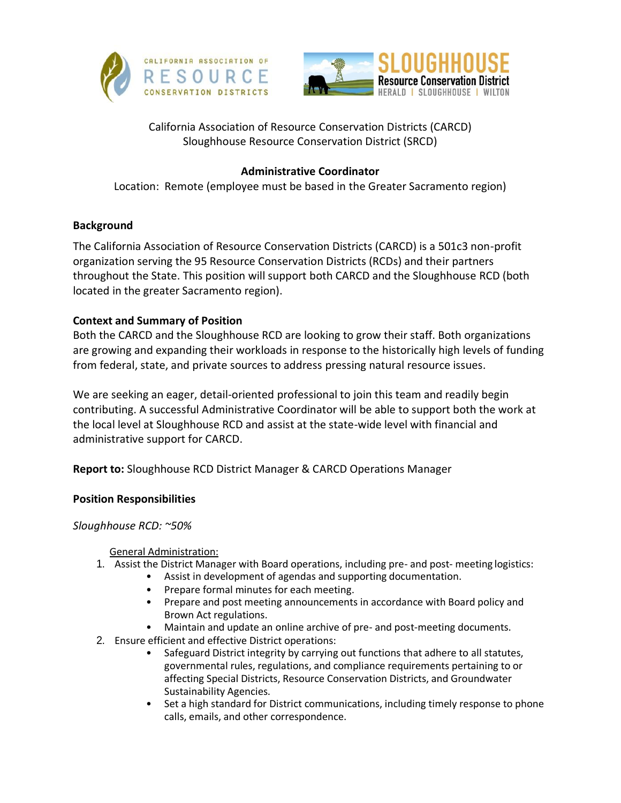



# California Association of Resource Conservation Districts (CARCD) Sloughhouse Resource Conservation District (SRCD)

## **Administrative Coordinator**

Location: Remote (employee must be based in the Greater Sacramento region)

## **Background**

The California Association of Resource Conservation Districts (CARCD) is a 501c3 non-profit organization serving the 95 Resource Conservation Districts (RCDs) and their partners throughout the State. This position will support both CARCD and the Sloughhouse RCD (both located in the greater Sacramento region).

# **Context and Summary of Position**

Both the CARCD and the Sloughhouse RCD are looking to grow their staff. Both organizations are growing and expanding their workloads in response to the historically high levels of funding from federal, state, and private sources to address pressing natural resource issues.

We are seeking an eager, detail-oriented professional to join this team and readily begin contributing. A successful Administrative Coordinator will be able to support both the work at the local level at Sloughhouse RCD and assist at the state-wide level with financial and administrative support for CARCD.

**Report to:** Sloughhouse RCD District Manager & CARCD Operations Manager

## **Position Responsibilities**

## *Sloughhouse RCD: ~50%*

General Administration:

- 1. Assist the District Manager with Board operations, including pre- and post- meeting logistics:
	- Assist in development of agendas and supporting documentation.
	- Prepare formal minutes for each meeting.
	- Prepare and post meeting announcements in accordance with Board policy and Brown Act regulations.
	- Maintain and update an online archive of pre- and post-meeting documents.
- 2. Ensure efficient and effective District operations:
	- Safeguard District integrity by carrying out functions that adhere to all statutes, governmental rules, regulations, and compliance requirements pertaining to or affecting Special Districts, Resource Conservation Districts, and Groundwater Sustainability Agencies.
	- Set a high standard for District communications, including timely response to phone calls, emails, and other correspondence.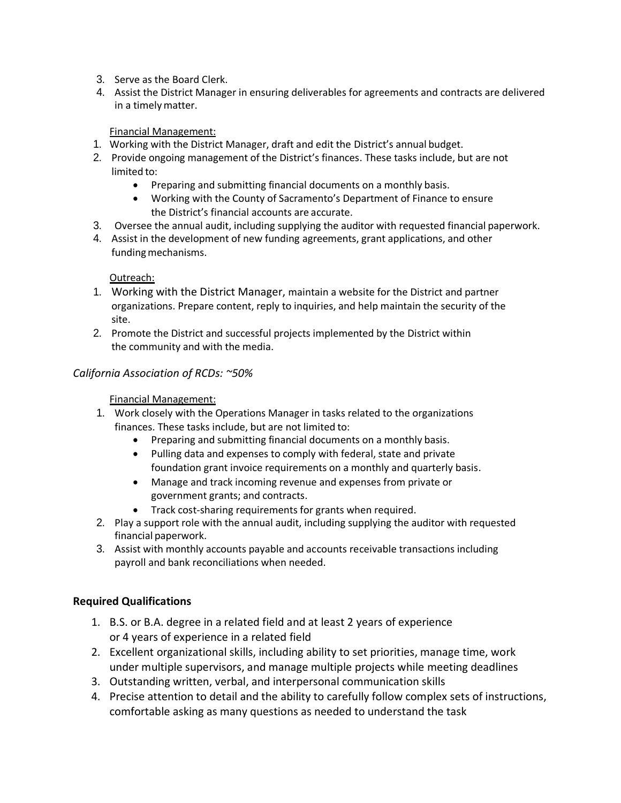- 3. Serve as the Board Clerk.
- 4. Assist the District Manager in ensuring deliverables for agreements and contracts are delivered in a timelymatter.

#### Financial Management:

- 1. Working with the District Manager, draft and edit the District's annual budget.
- 2. Provide ongoing management of the District's finances. These tasks include, but are not limited to:
	- Preparing and submitting financial documents on a monthly basis.
	- Working with the County of Sacramento's Department of Finance to ensure the District's financial accounts are accurate.
- 3. Oversee the annual audit, including supplying the auditor with requested financial paperwork.
- 4. Assist in the development of new funding agreements, grant applications, and other funding mechanisms.

#### Outreach:

- 1. Working with the District Manager, maintain a website for the District and partner organizations. Prepare content, reply to inquiries, and help maintain the security of the site.
- 2. Promote the District and successful projects implemented by the District within the community and with the media.

### *California Association of RCDs: ~50%*

#### Financial Management:

- 1. Work closely with the Operations Manager in tasks related to the organizations finances. These tasks include, but are not limited to:
	- Preparing and submitting financial documents on a monthly basis.
	- Pulling data and expenses to comply with federal, state and private foundation grant invoice requirements on a monthly and quarterly basis.
	- Manage and track incoming revenue and expenses from private or government grants; and contracts.
	- Track cost-sharing requirements for grants when required.
- 2. Play a support role with the annual audit, including supplying the auditor with requested financial paperwork.
- 3. Assist with monthly accounts payable and accounts receivable transactions including payroll and bank reconciliations when needed.

### **Required Qualifications**

- 1. B.S. or B.A. degree in a related field and at least 2 years of experience or 4 years of experience in a related field
- 2. Excellent organizational skills, including ability to set priorities, manage time, work under multiple supervisors, and manage multiple projects while meeting deadlines
- 3. Outstanding written, verbal, and interpersonal communication skills
- 4. Precise attention to detail and the ability to carefully follow complex sets of instructions, comfortable asking as many questions as needed to understand the task